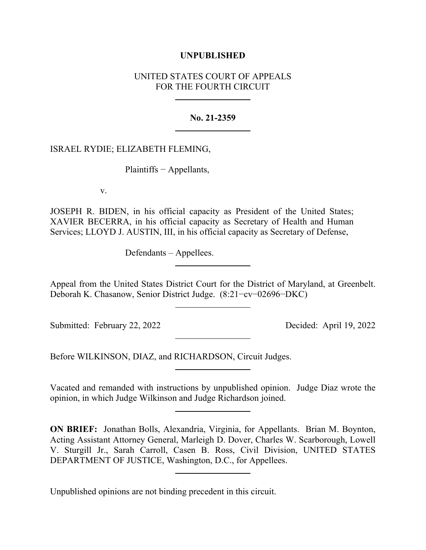## **UNPUBLISHED**

# UNITED STATES COURT OF APPEALS FOR THE FOURTH CIRCUIT

## **No. 21-2359**

## ISRAEL RYDIE; ELIZABETH FLEMING,

Plaintiffs − Appellants,

v.

JOSEPH R. BIDEN, in his official capacity as President of the United States; XAVIER BECERRA, in his official capacity as Secretary of Health and Human Services; LLOYD J. AUSTIN, III, in his official capacity as Secretary of Defense,

Defendants – Appellees.

Appeal from the United States District Court for the District of Maryland, at Greenbelt. Deborah K. Chasanow, Senior District Judge. (8:21−cv−02696−DKC)

Submitted: February 22, 2022 Decided: April 19, 2022

Before WILKINSON, DIAZ, and RICHARDSON, Circuit Judges.

Vacated and remanded with instructions by unpublished opinion. Judge Diaz wrote the opinion, in which Judge Wilkinson and Judge Richardson joined.

**ON BRIEF:** Jonathan Bolls, Alexandria, Virginia, for Appellants. Brian M. Boynton, Acting Assistant Attorney General, Marleigh D. Dover, Charles W. Scarborough, Lowell V. Sturgill Jr., Sarah Carroll, Casen B. Ross, Civil Division, UNITED STATES DEPARTMENT OF JUSTICE, Washington, D.C., for Appellees.

Unpublished opinions are not binding precedent in this circuit.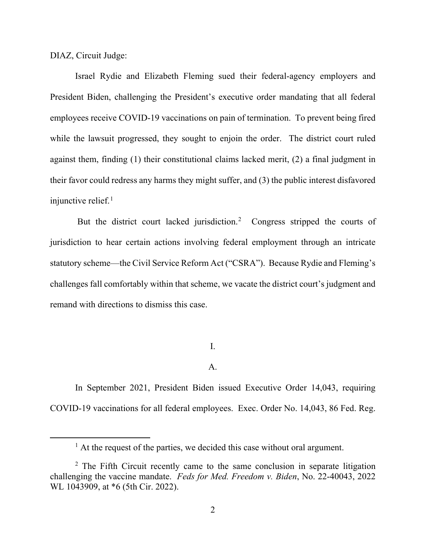DIAZ, Circuit Judge:

Israel Rydie and Elizabeth Fleming sued their federal-agency employers and President Biden, challenging the President's executive order mandating that all federal employees receive COVID-19 vaccinations on pain of termination. To prevent being fired while the lawsuit progressed, they sought to enjoin the order. The district court ruled against them, finding (1) their constitutional claims lacked merit, (2) a final judgment in their favor could redress any harms they might suffer, and (3) the public interest disfavored injunctive relief. $<sup>1</sup>$  $<sup>1</sup>$  $<sup>1</sup>$ </sup>

But the district court lacked jurisdiction.<sup>[2](#page-1-1)</sup> Congress stripped the courts of jurisdiction to hear certain actions involving federal employment through an intricate statutory scheme—the Civil Service Reform Act ("CSRA"). Because Rydie and Fleming's challenges fall comfortably within that scheme, we vacate the district court's judgment and remand with directions to dismiss this case.

I.

## A.

In September 2021, President Biden issued Executive Order 14,043, requiring COVID-19 vaccinations for all federal employees. Exec. Order No. 14,043, 86 Fed. Reg.

 $<sup>1</sup>$  At the request of the parties, we decided this case without oral argument.</sup>

<span id="page-1-1"></span><span id="page-1-0"></span><sup>&</sup>lt;sup>2</sup> The Fifth Circuit recently came to the same conclusion in separate litigation challenging the vaccine mandate. *Feds for Med. Freedom v. Biden*, No. 22-40043, 2022 WL 1043909, at \*6 (5th Cir. 2022).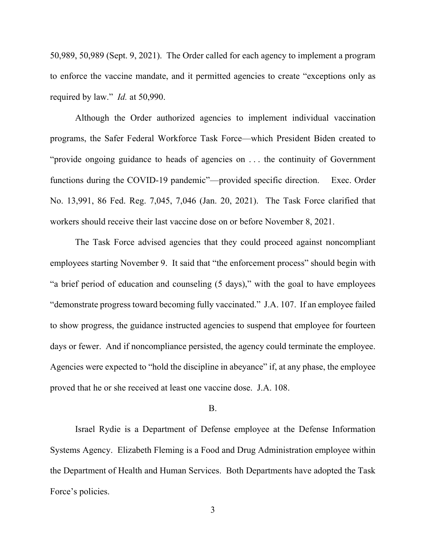50,989, 50,989 (Sept. 9, 2021). The Order called for each agency to implement a program to enforce the vaccine mandate, and it permitted agencies to create "exceptions only as required by law." *Id.* at 50,990.

Although the Order authorized agencies to implement individual vaccination programs, the Safer Federal Workforce Task Force—which President Biden created to "provide ongoing guidance to heads of agencies on . . . the continuity of Government functions during the COVID-19 pandemic"—provided specific direction. Exec. Order No. 13,991, 86 Fed. Reg. 7,045, 7,046 (Jan. 20, 2021). The Task Force clarified that workers should receive their last vaccine dose on or before November 8, 2021.

The Task Force advised agencies that they could proceed against noncompliant employees starting November 9. It said that "the enforcement process" should begin with "a brief period of education and counseling (5 days)," with the goal to have employees "demonstrate progress toward becoming fully vaccinated." J.A. 107. If an employee failed to show progress, the guidance instructed agencies to suspend that employee for fourteen days or fewer. And if noncompliance persisted, the agency could terminate the employee. Agencies were expected to "hold the discipline in abeyance" if, at any phase, the employee proved that he or she received at least one vaccine dose. J.A. 108.

### B.

Israel Rydie is a Department of Defense employee at the Defense Information Systems Agency. Elizabeth Fleming is a Food and Drug Administration employee within the Department of Health and Human Services. Both Departments have adopted the Task Force's policies.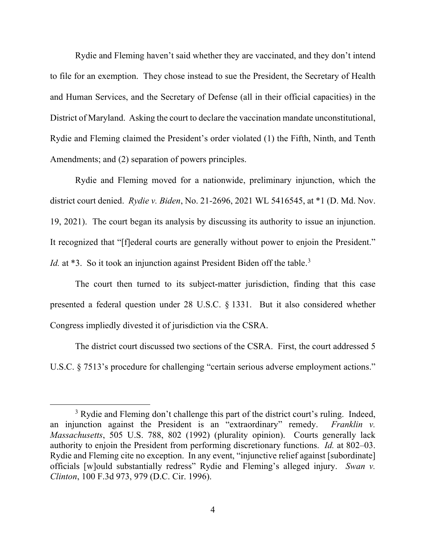Rydie and Fleming haven't said whether they are vaccinated, and they don't intend to file for an exemption. They chose instead to sue the President, the Secretary of Health and Human Services, and the Secretary of Defense (all in their official capacities) in the District of Maryland. Asking the court to declare the vaccination mandate unconstitutional, Rydie and Fleming claimed the President's order violated (1) the Fifth, Ninth, and Tenth Amendments; and (2) separation of powers principles.

Rydie and Fleming moved for a nationwide, preliminary injunction, which the district court denied. *Rydie v. Biden*, No. 21-2696, 2021 WL 5416545, at \*1 (D. Md. Nov. 19, 2021). The court began its analysis by discussing its authority to issue an injunction. It recognized that "[f]ederal courts are generally without power to enjoin the President." *Id.* at \*[3](#page-3-0). So it took an injunction against President Biden off the table.<sup>3</sup>

The court then turned to its subject-matter jurisdiction, finding that this case presented a federal question under 28 U.S.C. § 1331. But it also considered whether Congress impliedly divested it of jurisdiction via the CSRA.

The district court discussed two sections of the CSRA. First, the court addressed 5 U.S.C. § 7513's procedure for challenging "certain serious adverse employment actions."

<span id="page-3-0"></span><sup>&</sup>lt;sup>3</sup> Rydie and Fleming don't challenge this part of the district court's ruling. Indeed, an injunction against the President is an "extraordinary" remedy. *Franklin v. Massachusetts*, 505 U.S. 788, 802 (1992) (plurality opinion). Courts generally lack authority to enjoin the President from performing discretionary functions. *Id.* at 802–03. Rydie and Fleming cite no exception. In any event, "injunctive relief against [subordinate] officials [w]ould substantially redress" Rydie and Fleming's alleged injury. *Swan v. Clinton*, 100 F.3d 973, 979 (D.C. Cir. 1996).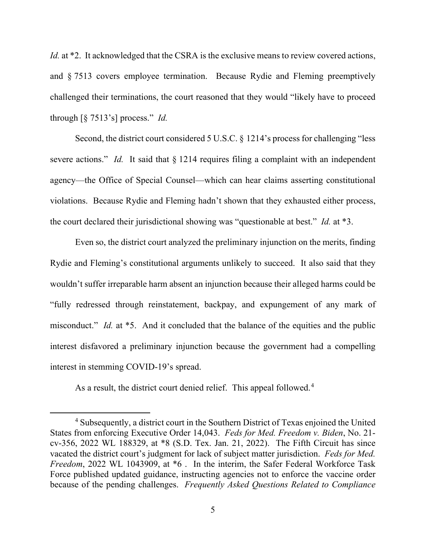*Id.* at \*2. It acknowledged that the CSRA is the exclusive means to review covered actions, and § 7513 covers employee termination. Because Rydie and Fleming preemptively challenged their terminations, the court reasoned that they would "likely have to proceed through [§ 7513's] process." *Id.* 

Second, the district court considered 5 U.S.C. § 1214's process for challenging "less" severe actions." *Id.* It said that § 1214 requires filing a complaint with an independent agency—the Office of Special Counsel—which can hear claims asserting constitutional violations. Because Rydie and Fleming hadn't shown that they exhausted either process, the court declared their jurisdictional showing was "questionable at best." *Id.* at \*3.

Even so, the district court analyzed the preliminary injunction on the merits, finding Rydie and Fleming's constitutional arguments unlikely to succeed. It also said that they wouldn't suffer irreparable harm absent an injunction because their alleged harms could be "fully redressed through reinstatement, backpay, and expungement of any mark of misconduct." *Id.* at \*5. And it concluded that the balance of the equities and the public interest disfavored a preliminary injunction because the government had a compelling interest in stemming COVID-19's spread.

As a result, the district court denied relief. This appeal followed.<sup>[4](#page-4-0)</sup>

<span id="page-4-0"></span><sup>&</sup>lt;sup>4</sup> Subsequently, a district court in the Southern District of Texas enjoined the United States from enforcing Executive Order 14,043. *Feds for Med. Freedom v. Biden*, No. 21 cv-356, 2022 WL 188329, at \*8 (S.D. Tex. Jan. 21, 2022). The Fifth Circuit has since vacated the district court's judgment for lack of subject matter jurisdiction. *Feds for Med. Freedom*, 2022 WL 1043909, at \*6 . In the interim, the Safer Federal Workforce Task Force published updated guidance, instructing agencies not to enforce the vaccine order because of the pending challenges. *Frequently Asked Questions Related to Compliance*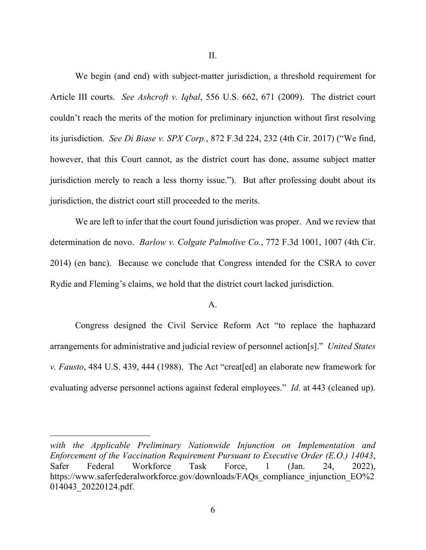II.

We begin (and end) with subject-matter jurisdiction, a threshold requirement for Article III courts. *See Ashcroft v. Iqbal*, 556 U.S. 662, 671 (2009). The district court couldn't reach the merits of the motion for preliminary injunction without first resolving its jurisdiction. *See Di Biase v. SPX Corp.*, 872 F.3d 224, 232 (4th Cir. 2017) ("We find, however, that this Court cannot, as the district court has done, assume subject matter jurisdiction merely to reach a less thorny issue."). But after professing doubt about its jurisdiction, the district court still proceeded to the merits.

We are left to infer that the court found jurisdiction was proper. And we review that determination de novo. *Barlow v. Colgate Palmolive Co.*, 772 F.3d 1001, 1007 (4th Cir. 2014) (en banc). Because we conclude that Congress intended for the CSRA to cover Rydie and Fleming's claims, we hold that the district court lacked jurisdiction.

### A.

Congress designed the Civil Service Reform Act "to replace the haphazard arrangements for administrative and judicial review of personnel action[s]." *United States v. Fausto*, 484 U.S. 439, 444 (1988). The Act "creat[ed] an elaborate new framework for evaluating adverse personnel actions against federal employees." *Id.* at 443 (cleaned up).

*with the Applicable Preliminary Nationwide Injunction on Implementation and Enforcement of the Vaccination Requirement Pursuant to Executive Order (E.O.) 14043*, Safer Federal Workforce Task Force, 1 (Jan. 24, 2022), https://www.saferfederalworkforce.gov/downloads/FAQs\_compliance\_injunction\_EO%2 014043\_20220124.pdf.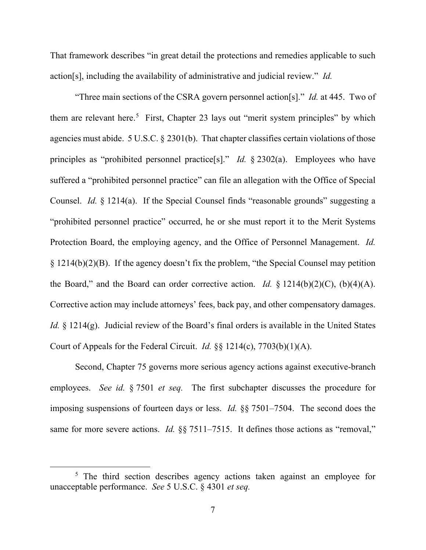That framework describes "in great detail the protections and remedies applicable to such action[s], including the availability of administrative and judicial review." *Id.* 

"Three main sections of the CSRA govern personnel action[s]." *Id.* at 445. Two of them are relevant here.<sup>[5](#page-6-0)</sup> First, Chapter 23 lays out "merit system principles" by which agencies must abide. 5 U.S.C. § 2301(b). That chapter classifies certain violations of those principles as "prohibited personnel practice[s]." *Id.* § 2302(a). Employees who have suffered a "prohibited personnel practice" can file an allegation with the Office of Special Counsel. *Id.* § 1214(a). If the Special Counsel finds "reasonable grounds" suggesting a "prohibited personnel practice" occurred, he or she must report it to the Merit Systems Protection Board, the employing agency, and the Office of Personnel Management. *Id.*  § 1214(b)(2)(B). If the agency doesn't fix the problem, "the Special Counsel may petition the Board," and the Board can order corrective action. *Id.*  $\frac{1}{2}$  1214(b)(2)(C), (b)(4)(A). Corrective action may include attorneys' fees, back pay, and other compensatory damages. *Id.* § 1214(g). Judicial review of the Board's final orders is available in the United States Court of Appeals for the Federal Circuit. *Id.* §§ 1214(c), 7703(b)(1)(A).

Second, Chapter 75 governs more serious agency actions against executive-branch employees. *See id.* § 7501 *et seq.* The first subchapter discusses the procedure for imposing suspensions of fourteen days or less. *Id.* §§ 7501–7504. The second does the same for more severe actions. *Id.* §§ 7511–7515. It defines those actions as "removal,"

<span id="page-6-0"></span><sup>&</sup>lt;sup>5</sup> The third section describes agency actions taken against an employee for unacceptable performance. *See* 5 U.S.C. § 4301 *et seq.*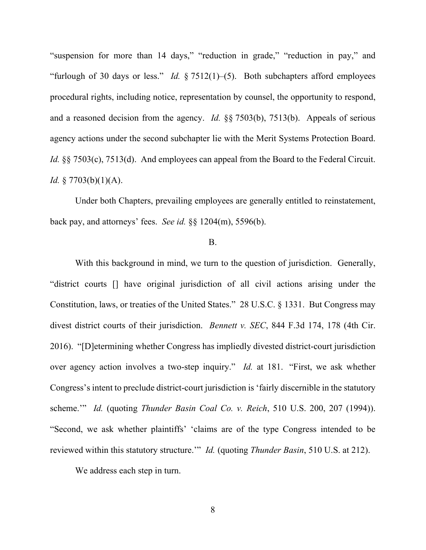"suspension for more than 14 days," "reduction in grade," "reduction in pay," and "furlough of 30 days or less." *Id.* § 7512(1)–(5). Both subchapters afford employees procedural rights, including notice, representation by counsel, the opportunity to respond, and a reasoned decision from the agency. *Id.* §§ 7503(b), 7513(b). Appeals of serious agency actions under the second subchapter lie with the Merit Systems Protection Board. *Id.* §§ 7503(c), 7513(d). And employees can appeal from the Board to the Federal Circuit. *Id.* § 7703(b)(1)(A).

Under both Chapters, prevailing employees are generally entitled to reinstatement, back pay, and attorneys' fees. *See id.* §§ 1204(m), 5596(b).

### B.

With this background in mind, we turn to the question of jurisdiction. Generally, "district courts [] have original jurisdiction of all civil actions arising under the Constitution, laws, or treaties of the United States." 28 U.S.C. § 1331. But Congress may divest district courts of their jurisdiction. *Bennett v. SEC*, 844 F.3d 174, 178 (4th Cir. 2016). "[D]etermining whether Congress has impliedly divested district-court jurisdiction over agency action involves a two-step inquiry." *Id.* at 181. "First, we ask whether Congress's intent to preclude district-court jurisdiction is 'fairly discernible in the statutory scheme.'" *Id.* (quoting *Thunder Basin Coal Co. v. Reich*, 510 U.S. 200, 207 (1994)). "Second, we ask whether plaintiffs' 'claims are of the type Congress intended to be reviewed within this statutory structure.'" *Id.* (quoting *Thunder Basin*, 510 U.S. at 212).

We address each step in turn.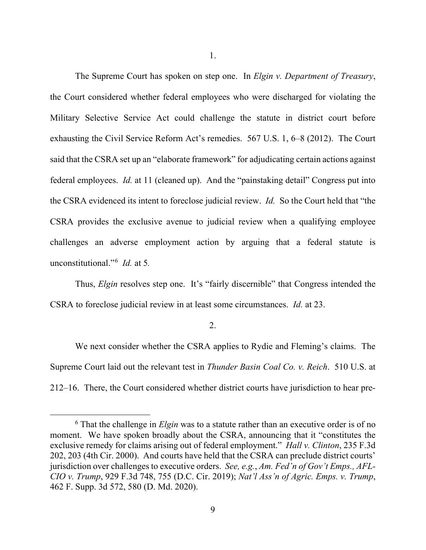The Supreme Court has spoken on step one. In *Elgin v. Department of Treasury*, the Court considered whether federal employees who were discharged for violating the Military Selective Service Act could challenge the statute in district court before exhausting the Civil Service Reform Act's remedies. 567 U.S. 1, 6–8 (2012). The Court said that the CSRA set up an "elaborate framework" for adjudicating certain actions against federal employees. *Id.* at 11 (cleaned up). And the "painstaking detail" Congress put into the CSRA evidenced its intent to foreclose judicial review. *Id.* So the Court held that "the CSRA provides the exclusive avenue to judicial review when a qualifying employee challenges an adverse employment action by arguing that a federal statute is unconstitutional."[6](#page-8-0) *Id.* at 5*.* 

Thus, *Elgin* resolves step one. It's "fairly discernible" that Congress intended the CSRA to foreclose judicial review in at least some circumstances. *Id.* at 23.

2.

We next consider whether the CSRA applies to Rydie and Fleming's claims. The Supreme Court laid out the relevant test in *Thunder Basin Coal Co. v. Reich*. 510 U.S. at 212–16. There, the Court considered whether district courts have jurisdiction to hear pre-

<span id="page-8-0"></span><sup>6</sup> That the challenge in *Elgin* was to a statute rather than an executive order is of no moment. We have spoken broadly about the CSRA, announcing that it "constitutes the exclusive remedy for claims arising out of federal employment." *Hall v. Clinton*, 235 F.3d 202, 203 (4th Cir. 2000). And courts have held that the CSRA can preclude district courts' jurisdiction over challenges to executive orders. *See, e.g.*, *Am. Fed'n of Gov't Emps., AFL-CIO v. Trump*, 929 F.3d 748, 755 (D.C. Cir. 2019); *Nat'l Ass'n of Agric. Emps. v. Trump*, 462 F. Supp. 3d 572, 580 (D. Md. 2020).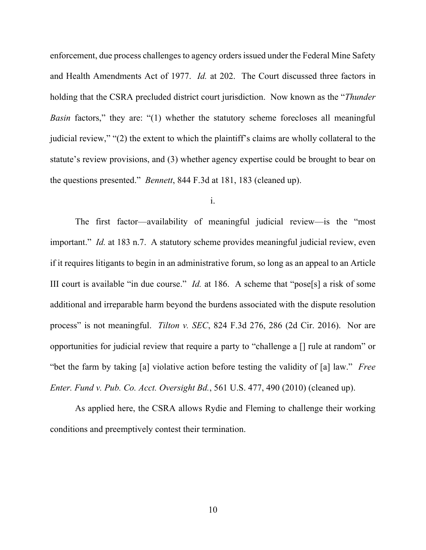enforcement, due process challenges to agency orders issued under the Federal Mine Safety and Health Amendments Act of 1977. *Id.* at 202. The Court discussed three factors in holding that the CSRA precluded district court jurisdiction. Now known as the "*Thunder Basin* factors," they are: "(1) whether the statutory scheme forecloses all meaningful judicial review," "(2) the extent to which the plaintiff's claims are wholly collateral to the statute's review provisions, and (3) whether agency expertise could be brought to bear on the questions presented." *Bennett*, 844 F.3d at 181, 183 (cleaned up).

i.

The first factor—availability of meaningful judicial review—is the "most important." *Id.* at 183 n.7. A statutory scheme provides meaningful judicial review, even if it requires litigants to begin in an administrative forum, so long as an appeal to an Article III court is available "in due course." *Id.* at 186. A scheme that "pose[s] a risk of some additional and irreparable harm beyond the burdens associated with the dispute resolution process" is not meaningful. *Tilton v. SEC*, 824 F.3d 276, 286 (2d Cir. 2016). Nor are opportunities for judicial review that require a party to "challenge a [] rule at random" or "bet the farm by taking [a] violative action before testing the validity of [a] law." *Free Enter. Fund v. Pub. Co. Acct. Oversight Bd.*, 561 U.S. 477, 490 (2010) (cleaned up).

As applied here, the CSRA allows Rydie and Fleming to challenge their working conditions and preemptively contest their termination.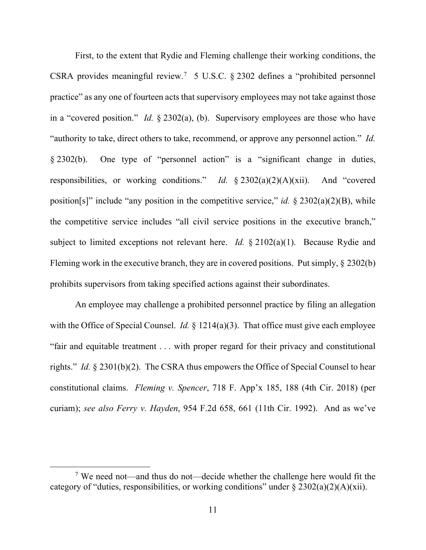First, to the extent that Rydie and Fleming challenge their working conditions, the CSRA provides meaningful review.<sup>[7](#page-10-0)</sup> 5 U.S.C. § 2302 defines a "prohibited personnel practice" as any one of fourteen acts that supervisory employees may not take against those in a "covered position." *Id.* § 2302(a), (b). Supervisory employees are those who have "authority to take, direct others to take, recommend, or approve any personnel action." *Id.* § 2302(b). One type of "personnel action" is a "significant change in duties, responsibilities, or working conditions." *Id.* § 2302(a)(2)(A)(xii). And "covered position[s]" include "any position in the competitive service," *id.* § 2302(a)(2)(B), while the competitive service includes "all civil service positions in the executive branch," subject to limited exceptions not relevant here. *Id.* § 2102(a)(1). Because Rydie and Fleming work in the executive branch, they are in covered positions. Put simply, § 2302(b) prohibits supervisors from taking specified actions against their subordinates.

An employee may challenge a prohibited personnel practice by filing an allegation with the Office of Special Counsel. *Id.* § 1214(a)(3). That office must give each employee "fair and equitable treatment . . . with proper regard for their privacy and constitutional rights." *Id.* § 2301(b)(2). The CSRA thus empowers the Office of Special Counsel to hear constitutional claims. *Fleming v. Spencer*, 718 F. App'x 185, 188 (4th Cir. 2018) (per curiam); *see also Ferry v. Hayden*, 954 F.2d 658, 661 (11th Cir. 1992). And as we've

<span id="page-10-0"></span><sup>&</sup>lt;sup>7</sup> We need not—and thus do not—decide whether the challenge here would fit the category of "duties, responsibilities, or working conditions" under  $\S 2302(a)(2)(A)(xii)$ .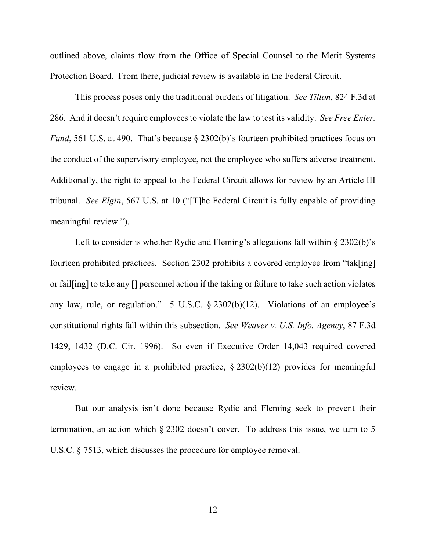outlined above, claims flow from the Office of Special Counsel to the Merit Systems Protection Board. From there, judicial review is available in the Federal Circuit.

This process poses only the traditional burdens of litigation. *See Tilton*, 824 F.3d at 286. And it doesn't require employees to violate the law to test its validity. *See Free Enter. Fund*, 561 U.S. at 490. That's because § 2302(b)'s fourteen prohibited practices focus on the conduct of the supervisory employee, not the employee who suffers adverse treatment. Additionally, the right to appeal to the Federal Circuit allows for review by an Article III tribunal. *See Elgin*, 567 U.S. at 10 ("[T]he Federal Circuit is fully capable of providing meaningful review.").

Left to consider is whether Rydie and Fleming's allegations fall within § 2302(b)'s fourteen prohibited practices. Section 2302 prohibits a covered employee from "tak[ing] or fail[ing] to take any [] personnel action if the taking or failure to take such action violates any law, rule, or regulation." 5 U.S.C. § 2302(b)(12). Violations of an employee's constitutional rights fall within this subsection. *See Weaver v. U.S. Info. Agency*, 87 F.3d 1429, 1432 (D.C. Cir. 1996). So even if Executive Order 14,043 required covered employees to engage in a prohibited practice,  $\S 2302(b)(12)$  provides for meaningful review.

But our analysis isn't done because Rydie and Fleming seek to prevent their termination, an action which § 2302 doesn't cover. To address this issue, we turn to 5 U.S.C. § 7513, which discusses the procedure for employee removal.

12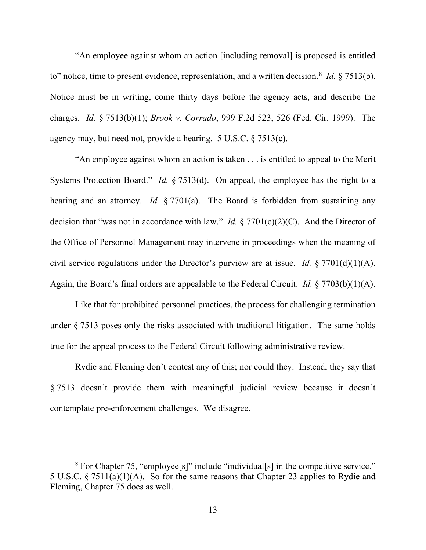"An employee against whom an action [including removal] is proposed is entitled to" notice, time to present evidence, representation, and a written decision.<sup>[8](#page-12-0)</sup> *Id.* § 7513(b). Notice must be in writing, come thirty days before the agency acts, and describe the charges. *Id.* § 7513(b)(1); *Brook v. Corrado*, 999 F.2d 523, 526 (Fed. Cir. 1999). The agency may, but need not, provide a hearing. 5 U.S.C. § 7513(c).

"An employee against whom an action is taken . . . is entitled to appeal to the Merit Systems Protection Board." *Id.* § 7513(d). On appeal, the employee has the right to a hearing and an attorney. *Id.* § 7701(a). The Board is forbidden from sustaining any decision that "was not in accordance with law." *Id.* § 7701(c)(2)(C). And the Director of the Office of Personnel Management may intervene in proceedings when the meaning of civil service regulations under the Director's purview are at issue. *Id.* § 7701(d)(1)(A). Again, the Board's final orders are appealable to the Federal Circuit. *Id.* § 7703(b)(1)(A).

Like that for prohibited personnel practices, the process for challenging termination under § 7513 poses only the risks associated with traditional litigation. The same holds true for the appeal process to the Federal Circuit following administrative review.

Rydie and Fleming don't contest any of this; nor could they. Instead, they say that § 7513 doesn't provide them with meaningful judicial review because it doesn't contemplate pre-enforcement challenges. We disagree.

<span id="page-12-0"></span><sup>&</sup>lt;sup>8</sup> For Chapter 75, "employee[s]" include "individual[s] in the competitive service." 5 U.S.C. § 7511(a)(1)(A). So for the same reasons that Chapter 23 applies to Rydie and Fleming, Chapter 75 does as well.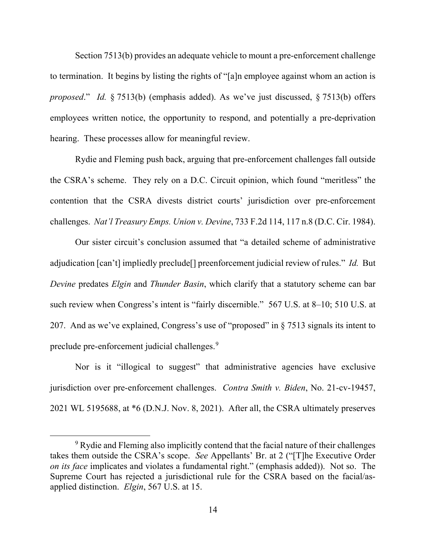Section 7513(b) provides an adequate vehicle to mount a pre-enforcement challenge to termination. It begins by listing the rights of "[a]n employee against whom an action is *proposed*." *Id.* § 7513(b) (emphasis added). As we've just discussed, § 7513(b) offers employees written notice, the opportunity to respond, and potentially a pre-deprivation hearing. These processes allow for meaningful review.

Rydie and Fleming push back, arguing that pre-enforcement challenges fall outside the CSRA's scheme. They rely on a D.C. Circuit opinion, which found "meritless" the contention that the CSRA divests district courts' jurisdiction over pre-enforcement challenges. *Nat'l Treasury Emps. Union v. Devine*, 733 F.2d 114, 117 n.8 (D.C. Cir. 1984).

Our sister circuit's conclusion assumed that "a detailed scheme of administrative adjudication [can't] impliedly preclude[] preenforcement judicial review of rules." *Id.* But *Devine* predates *Elgin* and *Thunder Basin*, which clarify that a statutory scheme can bar such review when Congress's intent is "fairly discernible." 567 U.S. at 8–10; 510 U.S. at 207. And as we've explained, Congress's use of "proposed" in  $\S 7513$  signals its intent to preclude pre-enforcement judicial challenges.<sup>[9](#page-13-0)</sup>

Nor is it "illogical to suggest" that administrative agencies have exclusive jurisdiction over pre-enforcement challenges. *Contra Smith v. Biden*, No. 21-cv-19457, 2021 WL 5195688, at \*6 (D.N.J. Nov. 8, 2021). After all, the CSRA ultimately preserves

<span id="page-13-0"></span><sup>&</sup>lt;sup>9</sup> Rydie and Fleming also implicitly contend that the facial nature of their challenges takes them outside the CSRA's scope. *See* Appellants' Br. at 2 ("[T]he Executive Order *on its face* implicates and violates a fundamental right." (emphasis added)). Not so. The Supreme Court has rejected a jurisdictional rule for the CSRA based on the facial/asapplied distinction. *Elgin*, 567 U.S. at 15.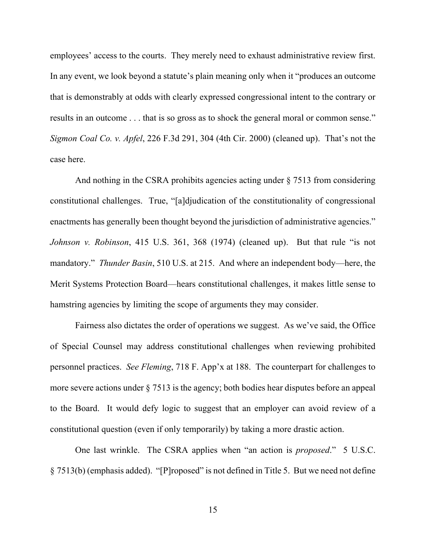employees' access to the courts. They merely need to exhaust administrative review first. In any event, we look beyond a statute's plain meaning only when it "produces an outcome that is demonstrably at odds with clearly expressed congressional intent to the contrary or results in an outcome . . . that is so gross as to shock the general moral or common sense." *Sigmon Coal Co. v. Apfel*, 226 F.3d 291, 304 (4th Cir. 2000) (cleaned up). That's not the case here.

And nothing in the CSRA prohibits agencies acting under § 7513 from considering constitutional challenges. True, "[a]djudication of the constitutionality of congressional enactments has generally been thought beyond the jurisdiction of administrative agencies." *Johnson v. Robinson*, 415 U.S. 361, 368 (1974) (cleaned up). But that rule "is not mandatory." *Thunder Basin*, 510 U.S. at 215. And where an independent body—here, the Merit Systems Protection Board—hears constitutional challenges, it makes little sense to hamstring agencies by limiting the scope of arguments they may consider.

Fairness also dictates the order of operations we suggest. As we've said, the Office of Special Counsel may address constitutional challenges when reviewing prohibited personnel practices. *See Fleming*, 718 F. App'x at 188. The counterpart for challenges to more severe actions under § 7513 is the agency; both bodies hear disputes before an appeal to the Board. It would defy logic to suggest that an employer can avoid review of a constitutional question (even if only temporarily) by taking a more drastic action.

One last wrinkle. The CSRA applies when "an action is *proposed*." 5 U.S.C. § 7513(b) (emphasis added). "[P]roposed" is not defined in Title 5. But we need not define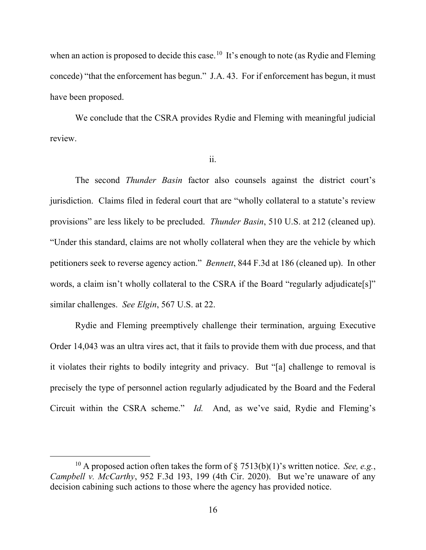when an action is proposed to decide this case.<sup>[10](#page-15-0)</sup> It's enough to note (as Rydie and Fleming concede) "that the enforcement has begun." J.A. 43. For if enforcement has begun, it must have been proposed.

We conclude that the CSRA provides Rydie and Fleming with meaningful judicial review.

ii.

The second *Thunder Basin* factor also counsels against the district court's jurisdiction. Claims filed in federal court that are "wholly collateral to a statute's review provisions" are less likely to be precluded. *Thunder Basin*, 510 U.S. at 212 (cleaned up). "Under this standard, claims are not wholly collateral when they are the vehicle by which petitioners seek to reverse agency action." *Bennett*, 844 F.3d at 186 (cleaned up). In other words, a claim isn't wholly collateral to the CSRA if the Board "regularly adjudicate[s]" similar challenges. *See Elgin*, 567 U.S. at 22.

Rydie and Fleming preemptively challenge their termination, arguing Executive Order 14,043 was an ultra vires act, that it fails to provide them with due process, and that it violates their rights to bodily integrity and privacy. But "[a] challenge to removal is precisely the type of personnel action regularly adjudicated by the Board and the Federal Circuit within the CSRA scheme." *Id.* And, as we've said, Rydie and Fleming's

<span id="page-15-0"></span><sup>&</sup>lt;sup>10</sup> A proposed action often takes the form of § 7513(b)(1)'s written notice. *See, e.g.*, *Campbell v. McCarthy*, 952 F.3d 193, 199 (4th Cir. 2020). But we're unaware of any decision cabining such actions to those where the agency has provided notice.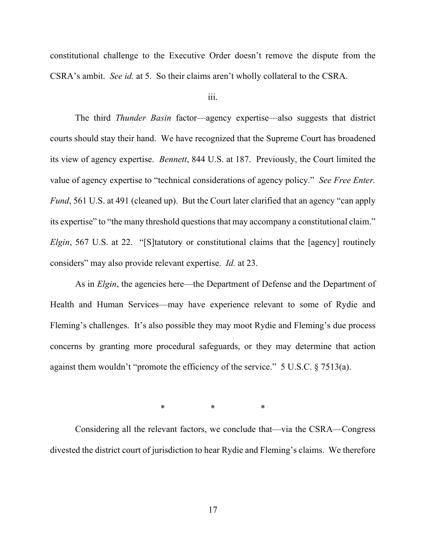constitutional challenge to the Executive Order doesn't remove the dispute from the CSRA's ambit. *See id.* at 5. So their claims aren't wholly collateral to the CSRA.

iii.

The third *Thunder Basin* factor—agency expertise—also suggests that district courts should stay their hand. We have recognized that the Supreme Court has broadened its view of agency expertise. *Bennett*, 844 U.S. at 187. Previously, the Court limited the value of agency expertise to "technical considerations of agency policy." *See Free Enter. Fund*, 561 U.S. at 491 (cleaned up). But the Court later clarified that an agency "can apply its expertise" to "the many threshold questions that may accompany a constitutional claim." *Elgin*, 567 U.S. at 22. "[S]tatutory or constitutional claims that the [agency] routinely considers" may also provide relevant expertise. *Id.* at 23.

As in *Elgin*, the agencies here—the Department of Defense and the Department of Health and Human Services—may have experience relevant to some of Rydie and Fleming's challenges. It's also possible they may moot Rydie and Fleming's due process concerns by granting more procedural safeguards, or they may determine that action against them wouldn't "promote the efficiency of the service." 5 U.S.C. § 7513(a).

\* \* \* \* \*

Considering all the relevant factors, we conclude that—via the CSRA—Congress divested the district court of jurisdiction to hear Rydie and Fleming's claims. We therefore